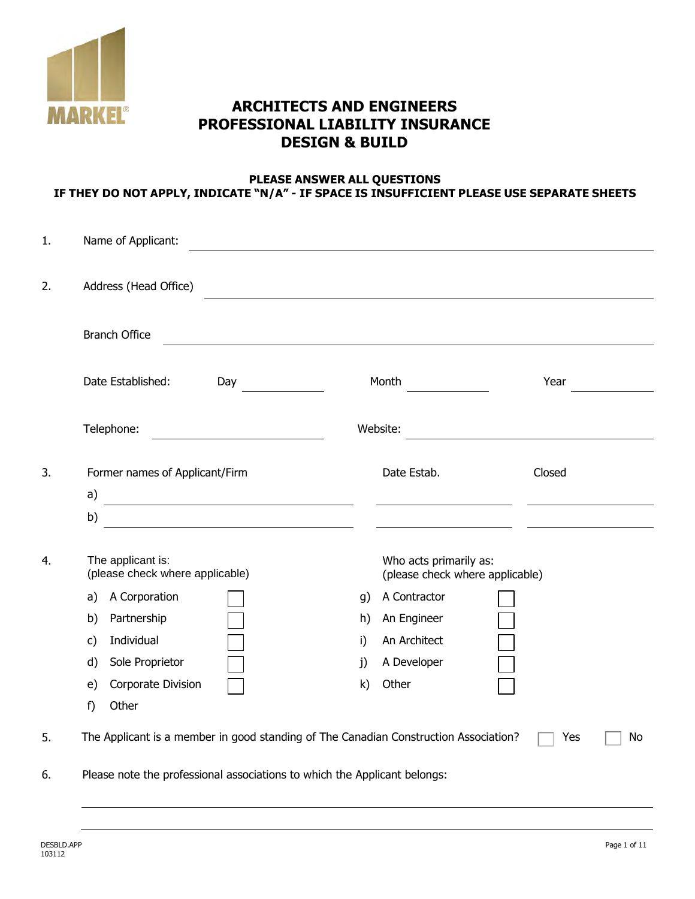

# **ARCHITECTS AND ENGINEERS PROFESSIONAL LIABILITY INSURANCE DESIGN & BUILD**

### **PLEASE ANSWER ALL QUESTIONS IF THEY DO NOT APPLY, INDICATE "N/A" - IF SPACE IS INSUFFICIENT PLEASE USE SEPARATE SHEETS**

| 1. | Name of Applicant:                                                                                                         |                                                           |           |
|----|----------------------------------------------------------------------------------------------------------------------------|-----------------------------------------------------------|-----------|
| 2. | Address (Head Office)                                                                                                      |                                                           |           |
|    | <b>Branch Office</b>                                                                                                       |                                                           |           |
|    | Date Established:<br>Day                                                                                                   | Month                                                     | Year      |
|    | Telephone:                                                                                                                 | Website:                                                  |           |
| 3. | Former names of Applicant/Firm<br>a)                                                                                       | Date Estab.                                               | Closed    |
|    | b)<br><u> 1980 - Jan Stein Stein Stein Stein Stein Stein Stein Stein Stein Stein Stein Stein Stein Stein Stein Stein S</u> |                                                           |           |
| 4. | The applicant is:<br>(please check where applicable)                                                                       | Who acts primarily as:<br>(please check where applicable) |           |
|    | A Corporation<br>a)                                                                                                        | A Contractor<br>g)                                        |           |
|    | Partnership<br>b)                                                                                                          | An Engineer<br>h)                                         |           |
|    | Individual<br>$\mathsf{C}$                                                                                                 | An Architect<br>i)                                        |           |
|    | Sole Proprietor<br>d)                                                                                                      | A Developer<br>j)                                         |           |
|    | Corporate Division<br>e)                                                                                                   | Other<br>$\mathsf{k}$                                     |           |
|    | Other<br>f)                                                                                                                |                                                           |           |
| 5. | The Applicant is a member in good standing of The Canadian Construction Association?                                       |                                                           | No<br>Yes |
| 6. | Please note the professional associations to which the Applicant belongs:                                                  |                                                           |           |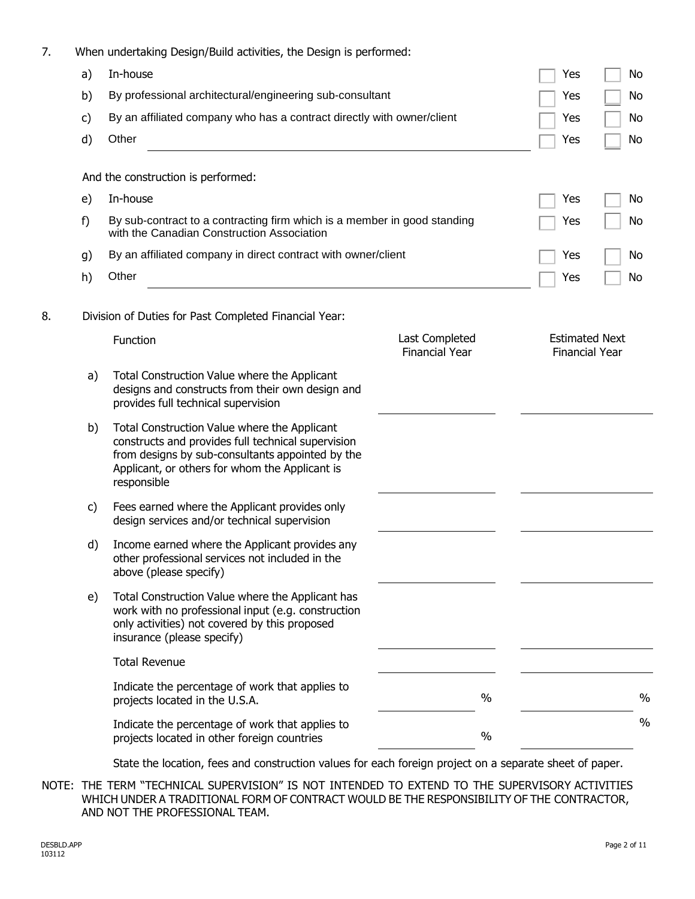| When undertaking Design/Build activities, the Design is performed: |  |  |
|--------------------------------------------------------------------|--|--|
|                                                                    |  |  |
|                                                                    |  |  |
|                                                                    |  |  |

|    | a) | In-house                                                                                                                                                                                                                |                                         | Yes                                            | No   |
|----|----|-------------------------------------------------------------------------------------------------------------------------------------------------------------------------------------------------------------------------|-----------------------------------------|------------------------------------------------|------|
|    | b) | By professional architectural/engineering sub-consultant                                                                                                                                                                | Yes                                     | No                                             |      |
|    | c) | By an affiliated company who has a contract directly with owner/client                                                                                                                                                  |                                         | Yes                                            | No   |
|    | d) | Other                                                                                                                                                                                                                   |                                         | Yes                                            | No   |
|    |    | And the construction is performed:                                                                                                                                                                                      |                                         |                                                |      |
|    | e) | In-house                                                                                                                                                                                                                |                                         | Yes                                            | No   |
|    | f) | By sub-contract to a contracting firm which is a member in good standing<br>with the Canadian Construction Association                                                                                                  |                                         | Yes                                            | No   |
|    | g) | By an affiliated company in direct contract with owner/client                                                                                                                                                           |                                         | Yes                                            | No   |
|    | h) | Other                                                                                                                                                                                                                   |                                         | Yes                                            | No   |
| 8. |    | Division of Duties for Past Completed Financial Year:                                                                                                                                                                   |                                         |                                                |      |
|    |    | Function                                                                                                                                                                                                                | Last Completed<br><b>Financial Year</b> | <b>Estimated Next</b><br><b>Financial Year</b> |      |
|    | a) | Total Construction Value where the Applicant<br>designs and constructs from their own design and<br>provides full technical supervision                                                                                 |                                         |                                                |      |
|    | b) | Total Construction Value where the Applicant<br>constructs and provides full technical supervision<br>from designs by sub-consultants appointed by the<br>Applicant, or others for whom the Applicant is<br>responsible |                                         |                                                |      |
|    | c) | Fees earned where the Applicant provides only<br>design services and/or technical supervision                                                                                                                           |                                         |                                                |      |
|    | d) | Income earned where the Applicant provides any<br>other professional services not included in the<br>above (please specify)                                                                                             |                                         |                                                |      |
|    | e) | Total Construction Value where the Applicant has<br>work with no professional input (e.g. construction<br>only activities) not covered by this proposed<br>insurance (please specify)                                   |                                         |                                                |      |
|    |    | <b>Total Revenue</b>                                                                                                                                                                                                    |                                         |                                                |      |
|    |    | Indicate the percentage of work that applies to<br>projects located in the U.S.A.                                                                                                                                       | $\%$                                    |                                                | $\%$ |
|    |    | Indicate the percentage of work that applies to<br>projects located in other foreign countries                                                                                                                          | $\%$                                    |                                                | $\%$ |

State the location, fees and construction values for each foreign project on a separate sheet of paper.

NOTE: THE TERM "TECHNICAL SUPERVISION" IS NOT INTENDED TO EXTEND TO THE SUPERVISORY ACTIVITIES WHICH UNDER A TRADITIONAL FORM OF CONTRACT WOULD BE THE RESPONSIBILITY OF THE CONTRACTOR, AND NOT THE PROFESSIONAL TEAM.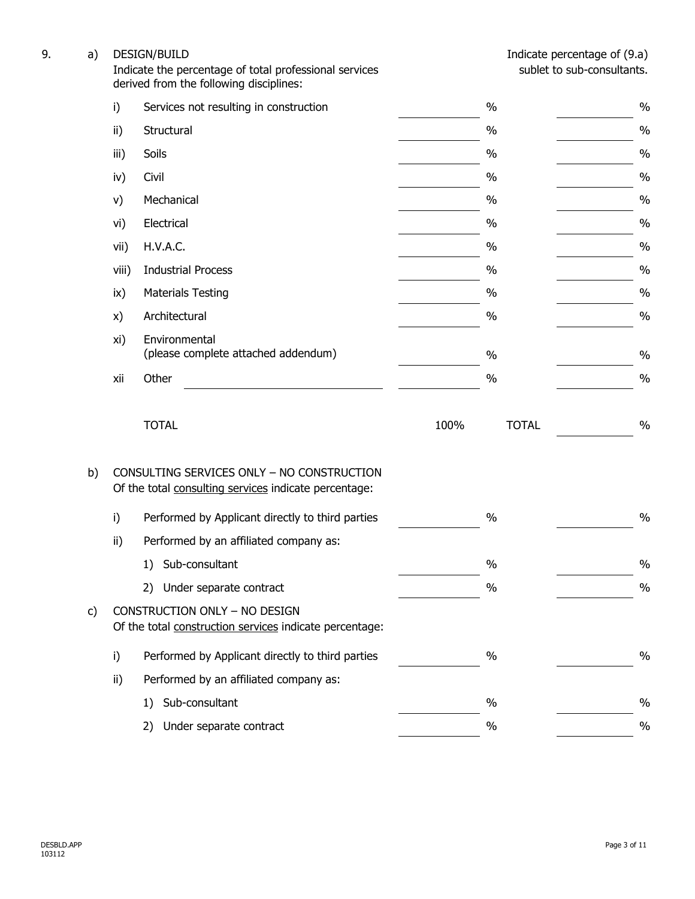| 9. | a) | <b>DESIGN/BUILD</b><br>Indicate the percentage of total professional services<br>derived from the following disciplines: |                                                                                                     |      | Indicate percentage of (9.a)<br>sublet to sub-consultants. |               |  |
|----|----|--------------------------------------------------------------------------------------------------------------------------|-----------------------------------------------------------------------------------------------------|------|------------------------------------------------------------|---------------|--|
|    |    | i)                                                                                                                       | Services not resulting in construction                                                              |      | $\%$                                                       | $\%$          |  |
|    |    | ii)                                                                                                                      | Structural                                                                                          |      | $\%$                                                       | $\frac{0}{0}$ |  |
|    |    | iii)                                                                                                                     | Soils                                                                                               |      | $\%$                                                       | $\%$          |  |
|    |    | iv)                                                                                                                      | Civil                                                                                               |      | $\%$                                                       | $\%$          |  |
|    |    | V)                                                                                                                       | Mechanical                                                                                          |      | $\%$                                                       | $\%$          |  |
|    |    | vi)                                                                                                                      | Electrical                                                                                          |      | $\%$                                                       | $\frac{0}{0}$ |  |
|    |    | vii)                                                                                                                     | H.V.A.C.                                                                                            |      | $\%$                                                       | $\%$          |  |
|    |    | viii)                                                                                                                    | <b>Industrial Process</b>                                                                           |      | $\%$                                                       | $\%$          |  |
|    |    | ix)                                                                                                                      | <b>Materials Testing</b>                                                                            |      | $\%$                                                       | $\frac{0}{0}$ |  |
|    |    | x)                                                                                                                       | Architectural                                                                                       |      | $\%$                                                       | $\%$          |  |
|    |    | xi)                                                                                                                      | Environmental<br>(please complete attached addendum)                                                |      | $\%$                                                       | $\frac{0}{0}$ |  |
|    |    | xii                                                                                                                      | Other                                                                                               |      | $\%$                                                       | $\frac{0}{0}$ |  |
|    |    |                                                                                                                          | <b>TOTAL</b>                                                                                        | 100% | <b>TOTAL</b>                                               | $\%$          |  |
|    | b) |                                                                                                                          | CONSULTING SERVICES ONLY - NO CONSTRUCTION<br>Of the total consulting services indicate percentage: |      |                                                            |               |  |
|    |    | i)                                                                                                                       | Performed by Applicant directly to third parties                                                    |      | $\%$                                                       | $\%$          |  |
|    |    | ii)                                                                                                                      | Performed by an affiliated company as:                                                              |      |                                                            |               |  |
|    |    |                                                                                                                          | Sub-consultant<br>1)                                                                                |      | $\%$                                                       | $\%$          |  |
|    |    |                                                                                                                          | Under separate contract<br>2)                                                                       |      | $\%$                                                       | $\%$          |  |
|    | c) |                                                                                                                          | CONSTRUCTION ONLY - NO DESIGN<br>Of the total construction services indicate percentage:            |      |                                                            |               |  |
|    |    | i)                                                                                                                       | Performed by Applicant directly to third parties                                                    |      | $\%$                                                       | $\%$          |  |
|    |    | ii)                                                                                                                      | Performed by an affiliated company as:                                                              |      |                                                            |               |  |
|    |    |                                                                                                                          | Sub-consultant<br>1)                                                                                |      | $\%$                                                       | $\%$          |  |
|    |    |                                                                                                                          | Under separate contract<br>2)                                                                       |      | $\%$                                                       | $\%$          |  |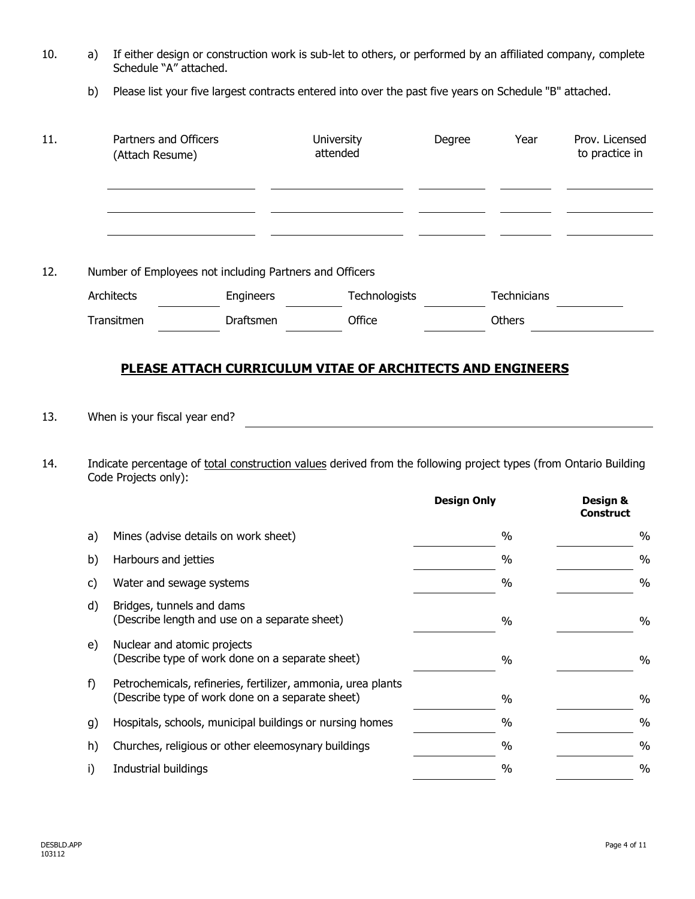| 10. | a) If either design or construction work is sub-let to others, or performed by an affiliated company, complete |
|-----|----------------------------------------------------------------------------------------------------------------|
|     | Schedule "A" attached.                                                                                         |

b) Please list your five largest contracts entered into over the past five years on Schedule "B" attached.

| 11.        | Partners and Officers<br>(Attach Resume) |                                                       |                                                                                                                  | University<br>attended                                                                                                                                                                | Degree             | Year        | Prov. Licensed<br>to practice in |
|------------|------------------------------------------|-------------------------------------------------------|------------------------------------------------------------------------------------------------------------------|---------------------------------------------------------------------------------------------------------------------------------------------------------------------------------------|--------------------|-------------|----------------------------------|
| 12.        |                                          | Architects                                            | Number of Employees not including Partners and Officers<br>Engineers                                             | Technologists                                                                                                                                                                         |                    | Technicians |                                  |
|            |                                          | Transitmen                                            | Draftsmen                                                                                                        | Office                                                                                                                                                                                |                    | Others      |                                  |
| 13.<br>14. |                                          | When is your fiscal year end?<br>Code Projects only): |                                                                                                                  | <b>PLEASE ATTACH CURRICULUM VITAE OF ARCHITECTS AND ENGINEERS</b><br>Indicate percentage of total construction values derived from the following project types (from Ontario Building |                    |             |                                  |
|            |                                          |                                                       |                                                                                                                  |                                                                                                                                                                                       | <b>Design Only</b> |             | Design &<br><b>Construct</b>     |
|            | a)                                       |                                                       | Mines (advise details on work sheet)                                                                             |                                                                                                                                                                                       |                    | $\%$        | $\%$                             |
|            | b)                                       | Harbours and jetties                                  |                                                                                                                  |                                                                                                                                                                                       |                    | $\%$        | $\frac{0}{0}$                    |
|            | c)                                       | Water and sewage systems                              |                                                                                                                  |                                                                                                                                                                                       |                    | $\%$        | $\frac{0}{0}$                    |
|            | d)                                       | Bridges, tunnels and dams                             | (Describe length and use on a separate sheet)                                                                    |                                                                                                                                                                                       |                    | $\%$        | $\%$                             |
|            | e)                                       | Nuclear and atomic projects                           | (Describe type of work done on a separate sheet)                                                                 |                                                                                                                                                                                       |                    | $\%$        | $\%$                             |
|            | f)                                       |                                                       | Petrochemicals, refineries, fertilizer, ammonia, urea plants<br>(Describe type of work done on a separate sheet) |                                                                                                                                                                                       |                    | $\%$        | $\%$                             |
|            | g)                                       |                                                       | Hospitals, schools, municipal buildings or nursing homes                                                         |                                                                                                                                                                                       |                    | $\%$        | $\%$                             |
|            | h)                                       |                                                       | Churches, religious or other eleemosynary buildings                                                              |                                                                                                                                                                                       |                    | $\%$        | $\%$                             |
|            | i)                                       | Industrial buildings                                  |                                                                                                                  |                                                                                                                                                                                       |                    | $\%$        | $\%$                             |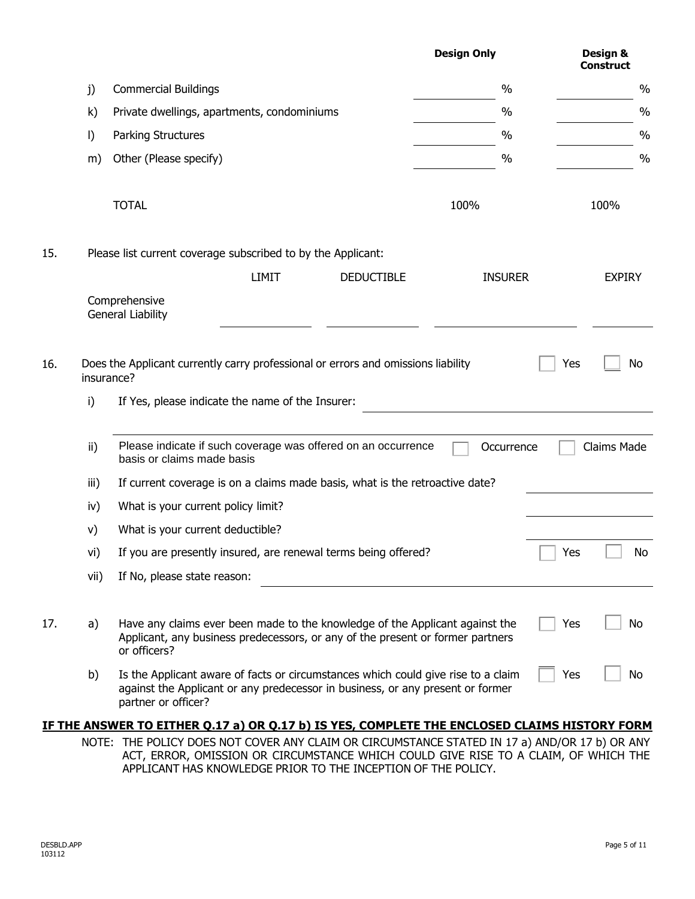|     |              |                                                                                                                                                                                |              |                   | <b>Design Only</b>                                                                |            | Design &<br><b>Construct</b> |
|-----|--------------|--------------------------------------------------------------------------------------------------------------------------------------------------------------------------------|--------------|-------------------|-----------------------------------------------------------------------------------|------------|------------------------------|
|     | j)           | <b>Commercial Buildings</b>                                                                                                                                                    |              |                   | $\%$                                                                              |            | $\%$                         |
|     | $\mathsf{k}$ | Private dwellings, apartments, condominiums                                                                                                                                    |              |                   | $\%$                                                                              |            | $\%$                         |
|     | $\vert$      | Parking Structures                                                                                                                                                             |              |                   | $\%$                                                                              |            | $\frac{0}{0}$                |
|     | m)           | Other (Please specify)                                                                                                                                                         |              |                   | $\%$                                                                              |            | $\%$                         |
|     |              | <b>TOTAL</b>                                                                                                                                                                   |              |                   | 100%                                                                              |            | 100%                         |
| 15. |              | Please list current coverage subscribed to by the Applicant:                                                                                                                   |              |                   |                                                                                   |            |                              |
|     |              |                                                                                                                                                                                | <b>LIMIT</b> | <b>DEDUCTIBLE</b> | <b>INSURER</b>                                                                    |            | <b>EXPIRY</b>                |
|     |              | Comprehensive<br><b>General Liability</b>                                                                                                                                      |              |                   |                                                                                   |            |                              |
| 16. | insurance?   | Does the Applicant currently carry professional or errors and omissions liability                                                                                              |              |                   |                                                                                   | Yes        | No                           |
|     | i)           | If Yes, please indicate the name of the Insurer:                                                                                                                               |              |                   |                                                                                   |            |                              |
|     | ii)          | Please indicate if such coverage was offered on an occurrence<br>basis or claims made basis                                                                                    |              |                   | Occurrence                                                                        |            | Claims Made                  |
|     | iii)         | If current coverage is on a claims made basis, what is the retroactive date?                                                                                                   |              |                   |                                                                                   |            |                              |
|     | iv)          | What is your current policy limit?                                                                                                                                             |              |                   |                                                                                   |            |                              |
|     | V)           | What is your current deductible?                                                                                                                                               |              |                   |                                                                                   |            |                              |
|     | vi)          | If you are presently insured, are renewal terms being offered?                                                                                                                 |              |                   |                                                                                   | $\Box$ Yes | No.                          |
|     | vii)         | If No, please state reason:                                                                                                                                                    |              |                   |                                                                                   |            |                              |
| 17. | a)           | Have any claims ever been made to the knowledge of the Applicant against the<br>Applicant, any business predecessors, or any of the present or former partners<br>or officers? |              |                   |                                                                                   | Yes        | No                           |
|     | b)           | against the Applicant or any predecessor in business, or any present or former<br>partner or officer?                                                                          |              |                   | Is the Applicant aware of facts or circumstances which could give rise to a claim | Yes        | No                           |
|     |              | IF THE ANSWER TO EITHER Q.17 a) OR Q.17 b) IS YES, COMPLETE THE ENCLOSED CLAIMS HISTORY FORM                                                                                   |              |                   |                                                                                   |            |                              |

NOTE: THE POLICY DOES NOT COVER ANY CLAIM OR CIRCUMSTANCE STATED IN 17 a) AND/OR 17 b) OR ANY ACT, ERROR, OMISSION OR CIRCUMSTANCE WHICH COULD GIVE RISE TO A CLAIM, OF WHICH THE APPLICANT HAS KNOWLEDGE PRIOR TO THE INCEPTION OF THE POLICY.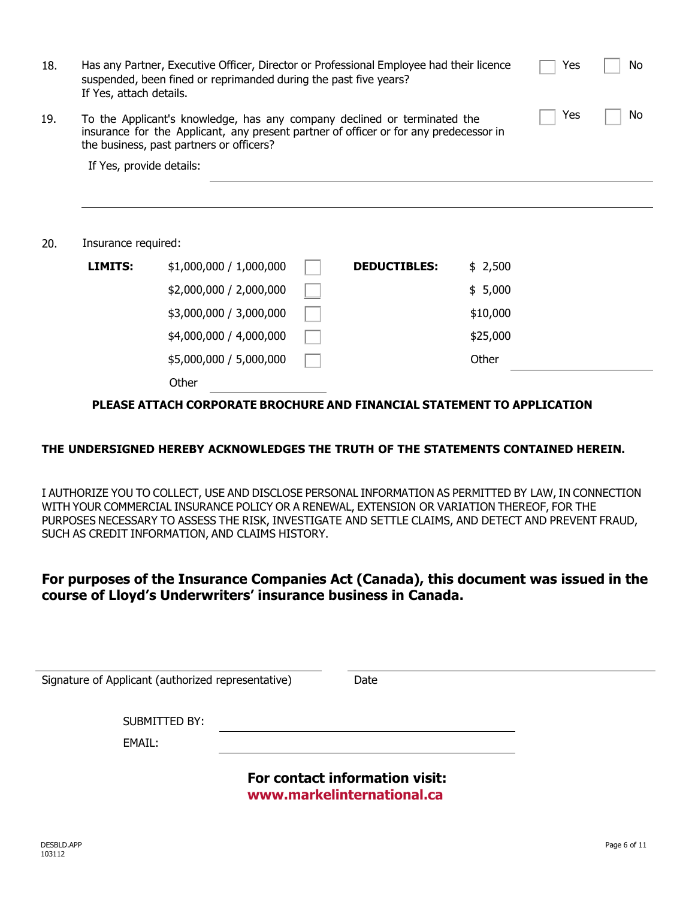| 18. | Has any Partner, Executive Officer, Director or Professional Employee had their licence<br>suspended, been fined or reprimanded during the past five years?<br>If Yes, attach details.                               |                         |  |                     |          | Yes | No |
|-----|----------------------------------------------------------------------------------------------------------------------------------------------------------------------------------------------------------------------|-------------------------|--|---------------------|----------|-----|----|
| 19. | Yes<br>To the Applicant's knowledge, has any company declined or terminated the<br>insurance for the Applicant, any present partner of officer or for any predecessor in<br>the business, past partners or officers? |                         |  |                     |          |     | No |
|     | If Yes, provide details:                                                                                                                                                                                             |                         |  |                     |          |     |    |
|     |                                                                                                                                                                                                                      |                         |  |                     |          |     |    |
|     |                                                                                                                                                                                                                      |                         |  |                     |          |     |    |
| 20. | Insurance required:                                                                                                                                                                                                  |                         |  |                     |          |     |    |
|     | <b>LIMITS:</b>                                                                                                                                                                                                       | \$1,000,000 / 1,000,000 |  | <b>DEDUCTIBLES:</b> | \$2,500  |     |    |
|     |                                                                                                                                                                                                                      | \$2,000,000 / 2,000,000 |  |                     | \$5,000  |     |    |
|     |                                                                                                                                                                                                                      | \$3,000,000 / 3,000,000 |  |                     | \$10,000 |     |    |
|     |                                                                                                                                                                                                                      | \$4,000,000 / 4,000,000 |  |                     | \$25,000 |     |    |
|     |                                                                                                                                                                                                                      | \$5,000,000 / 5,000,000 |  |                     | Other    |     |    |

**Other** 

**PLEASE ATTACH CORPORATE BROCHURE AND FINANCIAL STATEMENT TO APPLICATION**

#### **THE UNDERSIGNED HEREBY ACKNOWLEDGES THE TRUTH OF THE STATEMENTS CONTAINED HEREIN.**

I AUTHORIZE YOU TO COLLECT, USE AND DISCLOSE PERSONAL INFORMATION AS PERMITTED BY LAW, IN CONNECTION WITH YOUR COMMERCIAL INSURANCE POLICY OR A RENEWAL, EXTENSION OR VARIATION THEREOF, FOR THE PURPOSES NECESSARY TO ASSESS THE RISK, INVESTIGATE AND SETTLE CLAIMS, AND DETECT AND PREVENT FRAUD, SUCH AS CREDIT INFORMATION, AND CLAIMS HISTORY.

## **For purposes of the Insurance Companies Act (Canada), this document was issued in the course of Lloyd's Underwriters' insurance business in Canada.**

| Signature of Applicant (authorized representative) | Date                           |  |
|----------------------------------------------------|--------------------------------|--|
| SUBMITTED BY:                                      |                                |  |
| EMAIL:                                             | For contact information visit: |  |

**<www.markelinternational.ca>**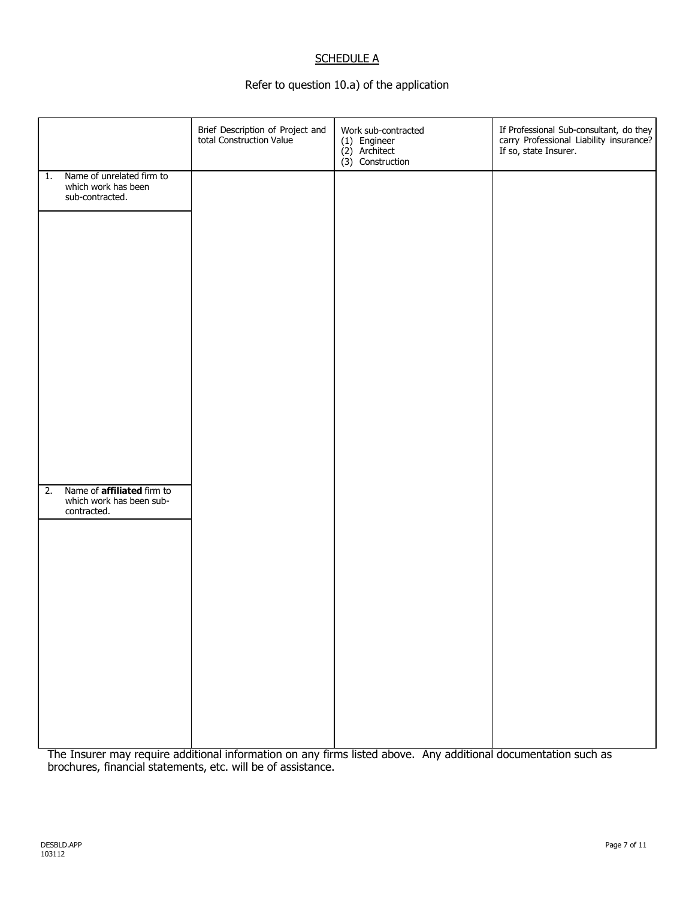### **SCHEDULE A**

#### Refer to question 10.a) of the application

|    |                                                                              | Brief Description of Project and<br>total Construction Value | Work sub-contracted<br>(1) Engineer<br>(2) Architect<br>$(3)$ Construction | If Professional Sub-consultant, do they<br>carry Professional Liability insurance?<br>If so, state Insurer. |
|----|------------------------------------------------------------------------------|--------------------------------------------------------------|----------------------------------------------------------------------------|-------------------------------------------------------------------------------------------------------------|
| 1. | Name of unrelated firm to<br>which work has been<br>sub-contracted.          |                                                              |                                                                            |                                                                                                             |
|    |                                                                              |                                                              |                                                                            |                                                                                                             |
|    |                                                                              |                                                              |                                                                            |                                                                                                             |
|    |                                                                              |                                                              |                                                                            |                                                                                                             |
|    |                                                                              |                                                              |                                                                            |                                                                                                             |
|    |                                                                              |                                                              |                                                                            |                                                                                                             |
|    |                                                                              |                                                              |                                                                            |                                                                                                             |
| 2. | Name of <b>affiliated</b> firm to<br>which work has been sub-<br>contracted. |                                                              |                                                                            |                                                                                                             |
|    |                                                                              |                                                              |                                                                            |                                                                                                             |
|    |                                                                              |                                                              |                                                                            |                                                                                                             |
|    |                                                                              |                                                              |                                                                            |                                                                                                             |
|    |                                                                              |                                                              |                                                                            |                                                                                                             |
|    |                                                                              |                                                              |                                                                            |                                                                                                             |
|    |                                                                              |                                                              |                                                                            |                                                                                                             |

The Insurer may require additional information on any firms listed above. Any additional documentation such as brochures, financial statements, etc. will be of assistance.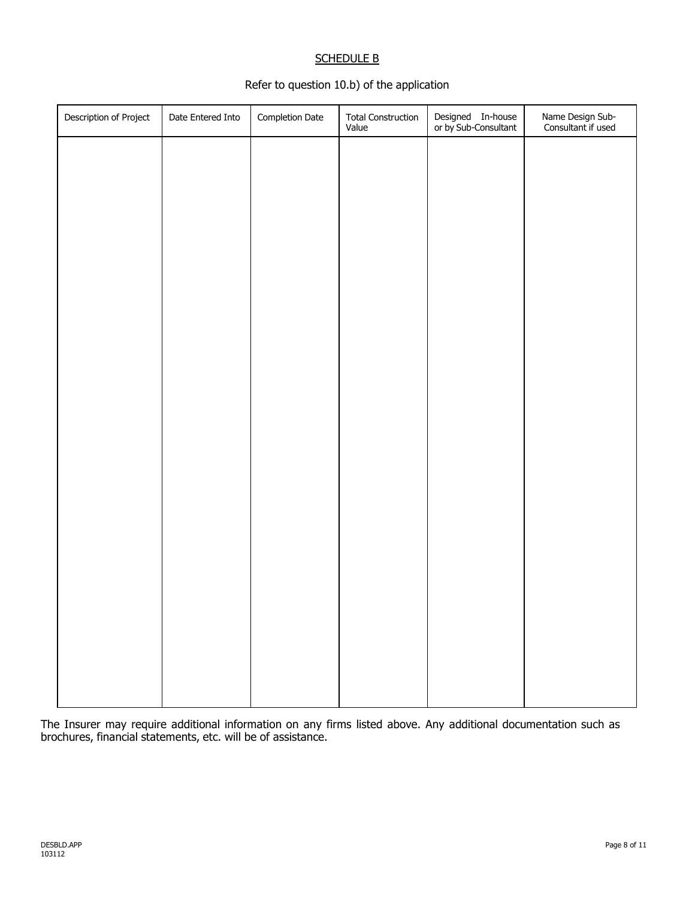#### SCHEDULE B

#### Refer to question 10.b) of the application

| Description of Project | Date Entered Into | Completion Date | Total Construction<br>Value | Designed In-house<br>or by Sub-Consultant | Name Design Sub-<br>Consultant if used |
|------------------------|-------------------|-----------------|-----------------------------|-------------------------------------------|----------------------------------------|
|                        |                   |                 |                             |                                           |                                        |
|                        |                   |                 |                             |                                           |                                        |
|                        |                   |                 |                             |                                           |                                        |
|                        |                   |                 |                             |                                           |                                        |
|                        |                   |                 |                             |                                           |                                        |
|                        |                   |                 |                             |                                           |                                        |
|                        |                   |                 |                             |                                           |                                        |
|                        |                   |                 |                             |                                           |                                        |
|                        |                   |                 |                             |                                           |                                        |
|                        |                   |                 |                             |                                           |                                        |
|                        |                   |                 |                             |                                           |                                        |
|                        |                   |                 |                             |                                           |                                        |
|                        |                   |                 |                             |                                           |                                        |
|                        |                   |                 |                             |                                           |                                        |
|                        |                   |                 |                             |                                           |                                        |
|                        |                   |                 |                             |                                           |                                        |
|                        |                   |                 |                             |                                           |                                        |
|                        |                   |                 |                             |                                           |                                        |

The Insurer may require additional information on any firms listed above. Any additional documentation such as brochures, financial statements, etc. will be of assistance.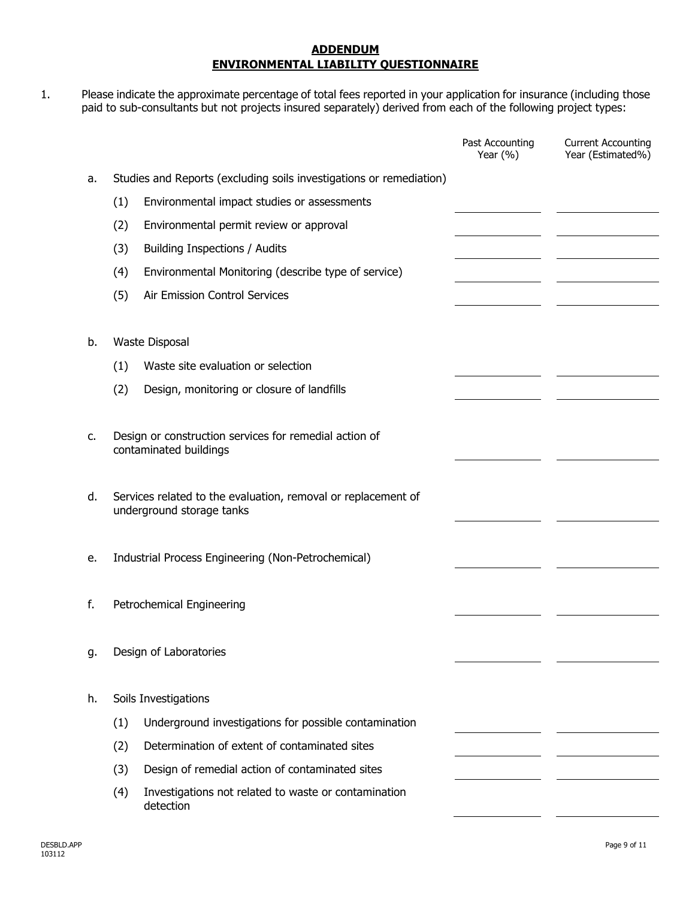#### **ADDENDUM ENVIRONMENTAL LIABILITY QUESTIONNAIRE**

1. Please indicate the approximate percentage of total fees reported in your application for insurance (including those paid to sub-consultants but not projects insured separately) derived from each of the following project types:

|    |     |                                                                     | Past Accounting<br>Year $(% )$ | <b>Current Accounting</b><br>Year (Estimated%) |
|----|-----|---------------------------------------------------------------------|--------------------------------|------------------------------------------------|
| a. |     | Studies and Reports (excluding soils investigations or remediation) |                                |                                                |
|    | (1) | Environmental impact studies or assessments                         |                                |                                                |
|    | (2) | Environmental permit review or approval                             |                                |                                                |
|    | (3) | Building Inspections / Audits                                       |                                |                                                |
|    | (4) | Environmental Monitoring (describe type of service)                 |                                |                                                |
|    | (5) | Air Emission Control Services                                       |                                |                                                |
|    |     |                                                                     |                                |                                                |
| b. |     | Waste Disposal                                                      |                                |                                                |
|    | (1) | Waste site evaluation or selection                                  |                                |                                                |
|    | (2) | Design, monitoring or closure of landfills                          |                                |                                                |
|    |     |                                                                     |                                |                                                |
| c. |     | Design or construction services for remedial action of              |                                |                                                |
|    |     | contaminated buildings                                              |                                |                                                |
| d. |     | Services related to the evaluation, removal or replacement of       |                                |                                                |
|    |     | underground storage tanks                                           |                                |                                                |
|    |     |                                                                     |                                |                                                |
| е. |     | Industrial Process Engineering (Non-Petrochemical)                  |                                |                                                |
|    |     |                                                                     |                                |                                                |
| f. |     | Petrochemical Engineering                                           |                                |                                                |
|    |     |                                                                     |                                |                                                |
| g. |     | Design of Laboratories                                              |                                |                                                |
|    |     |                                                                     |                                |                                                |
| h. |     | Soils Investigations                                                |                                |                                                |
|    | (1) | Underground investigations for possible contamination               |                                |                                                |
|    | (2) | Determination of extent of contaminated sites                       |                                |                                                |
|    | (3) | Design of remedial action of contaminated sites                     |                                |                                                |
|    | (4) | Investigations not related to waste or contamination<br>detection   |                                |                                                |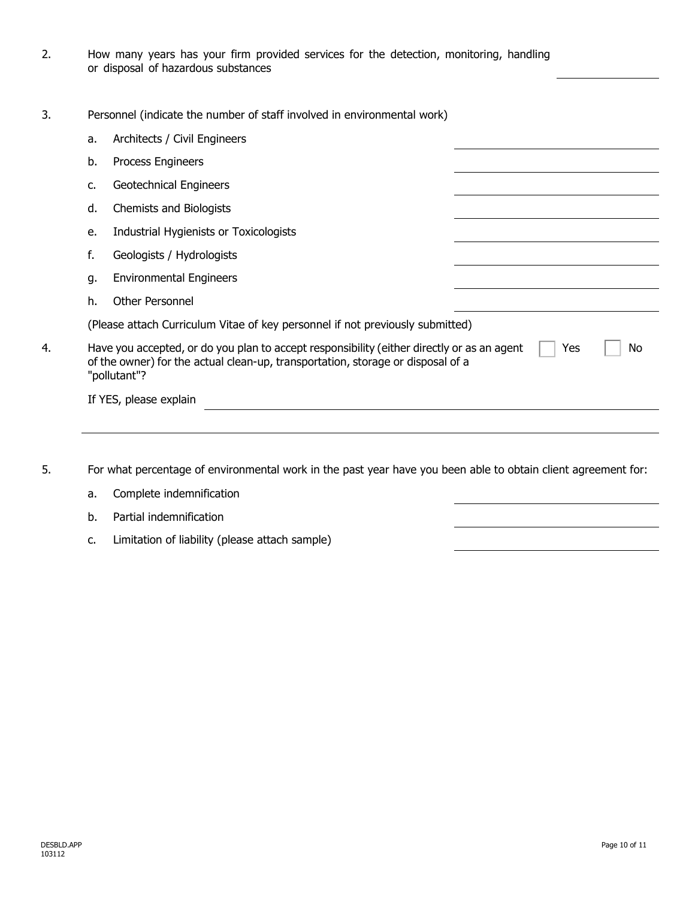- 2. How many years has your firm provided services for the detection, monitoring, handling or disposal of hazardous substances
- 3. Personnel (indicate the number of staff involved in environmental work)

| Process Engineers<br><b>Geotechnical Engineers</b><br>Chemists and Biologists<br>Industrial Hygienists or Toxicologists<br>Geologists / Hydrologists                                       |
|--------------------------------------------------------------------------------------------------------------------------------------------------------------------------------------------|
|                                                                                                                                                                                            |
|                                                                                                                                                                                            |
|                                                                                                                                                                                            |
|                                                                                                                                                                                            |
|                                                                                                                                                                                            |
| <b>Environmental Engineers</b>                                                                                                                                                             |
| Other Personnel                                                                                                                                                                            |
| (Please attach Curriculum Vitae of key personnel if not previously submitted)                                                                                                              |
| Have you accepted, or do you plan to accept responsibility (either directly or as an agent<br>Yes<br>No<br>of the owner) for the actual clean-up, transportation, storage or disposal of a |
| If YES, please explain                                                                                                                                                                     |
|                                                                                                                                                                                            |

- 5. For what percentage of environmental work in the past year have you been able to obtain client agreement for:
	- a. Complete indemnification b. Partial indemnification c. Limitation of liability (please attach sample)